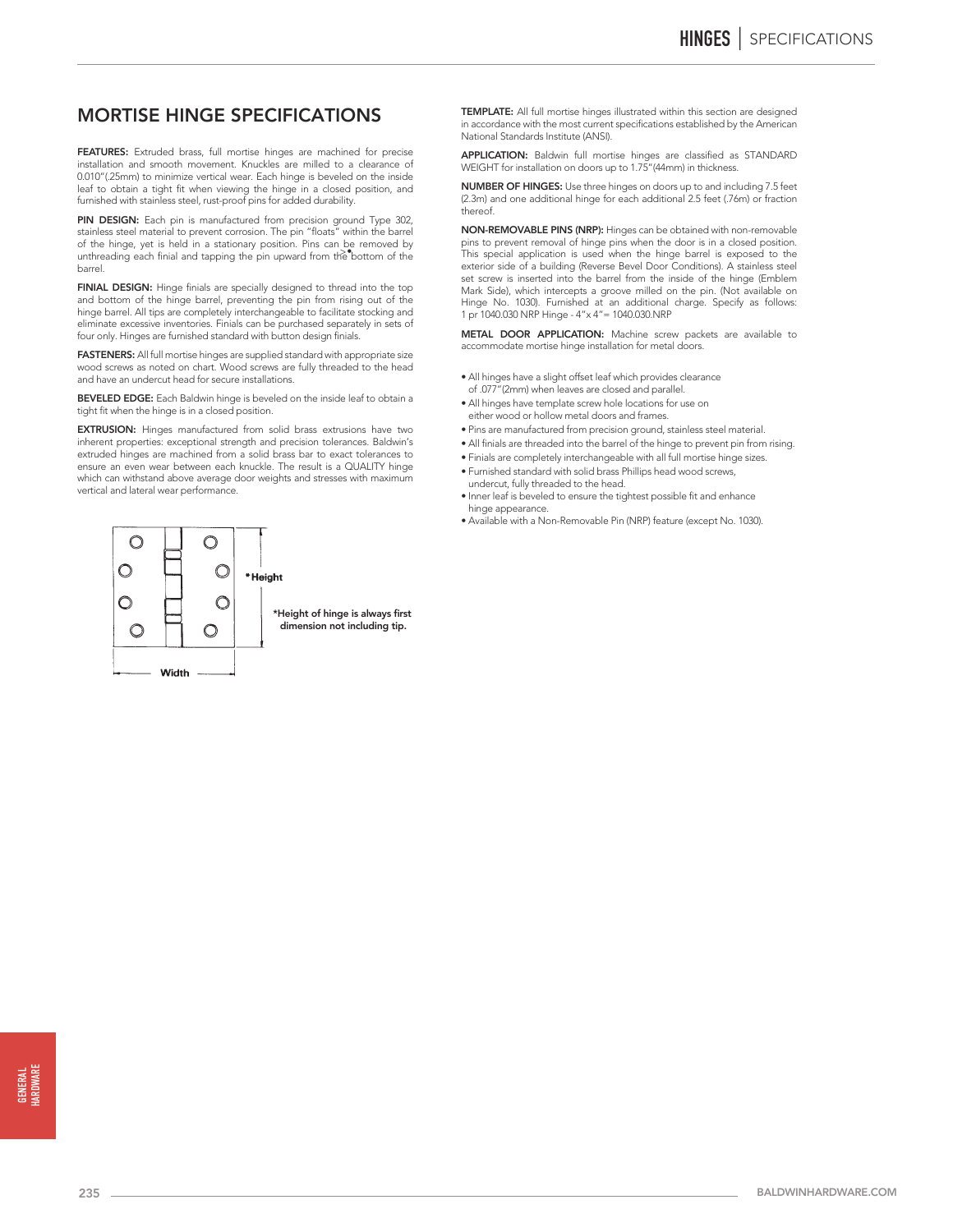# MORTISE HINGE SPECIFICATIONS

FEATURES: Extruded brass, full mortise hinges are machined for precise installation and smooth movement. Knuckles are milled to a clearance of 0.010"(.25mm) to minimize vertical wear. Each hinge is beveled on the inside leaf to obtain a tight fit when viewing the hinge in a closed position, and furnished with stainless steel, rust-proof pins for added durability.

PIN DESIGN: Each pin is manufactured from precision ground Type 302, stainless steel material to prevent corrosion. The pin "floats" within the barrel of the hinge, yet is held in a stationary position. Pins can be removed by unthreading each finial and tapping the pin upward from the bottom of the barrel.

FINIAL DESIGN: Hinge finials are specially designed to thread into the top and bottom of the hinge barrel, preventing the pin from rising out of the hinge barrel. All tips are completely interchangeable to facilitate stocking and eliminate excessive inventories. Finials can be purchased separately in sets of four only. Hinges are furnished standard with button design finials.

FASTENERS: All full mortise hinges are supplied standard with appropriate size wood screws as noted on chart. Wood screws are fully threaded to the head and have an undercut head for secure installations.

BEVELED EDGE: Each Baldwin hinge is beveled on the inside leaf to obtain a tight fit when the hinge is in a closed position.

EXTRUSION: Hinges manufactured from solid brass extrusions have two inherent properties: exceptional strength and precision tolerances. Baldwin's extruded hinges are machined from a solid brass bar to exact tolerances to ensure an even wear between each knuckle. The result is a QUALITY hinge which can withstand above average door weights and stresses with maximum vertical and lateral wear performance.



TEMPLATE: All full mortise hinges illustrated within this section are designed in accordance with the most current specifications established by the American National Standards Institute (ANSI).

APPLICATION: Baldwin full mortise hinges are classified as STANDARD WEIGHT for installation on doors up to 1.75"(44mm) in thickness.

NUMBER OF HINGES: Use three hinges on doors up to and including 7.5 feet (2.3m) and one additional hinge for each additional 2.5 feet (.76m) or fraction thereof.

NON-REMOVABLE PINS (NRP): Hinges can be obtained with non-removable pins to prevent removal of hinge pins when the door is in a closed position. This special application is used when the hinge barrel is exposed to the exterior side of a building (Reverse Bevel Door Conditions). A stainless steel set screw is inserted into the barrel from the inside of the hinge (Emblem Mark Side), which intercepts a groove milled on the pin. (Not available on Hinge No. 1030). Furnished at an additional charge. Specify as follows: 1 pr 1040.030 NRP Hinge - 4"x 4"= 1040.030.NRP

METAL DOOR APPLICATION: Machine screw packets are available to accommodate mortise hinge installation for metal doors.

- All hinges have a slight offset leaf which provides clearance of .077"(2mm) when leaves are closed and parallel.
- All hinges have template screw hole locations for use on either wood or hollow metal doors and frames.
- Pins are manufactured from precision ground, stainless steel material.
- All finials are threaded into the barrel of the hinge to prevent pin from rising.
- Finials are completely interchangeable with all full mortise hinge sizes.
- Furnished standard with solid brass Phillips head wood screws, undercut, fully threaded to the head.
- Inner leaf is beveled to ensure the tightest possible fit and enhance hinge appearance.
- Available with a Non-Removable Pin (NRP) feature (except No. 1030).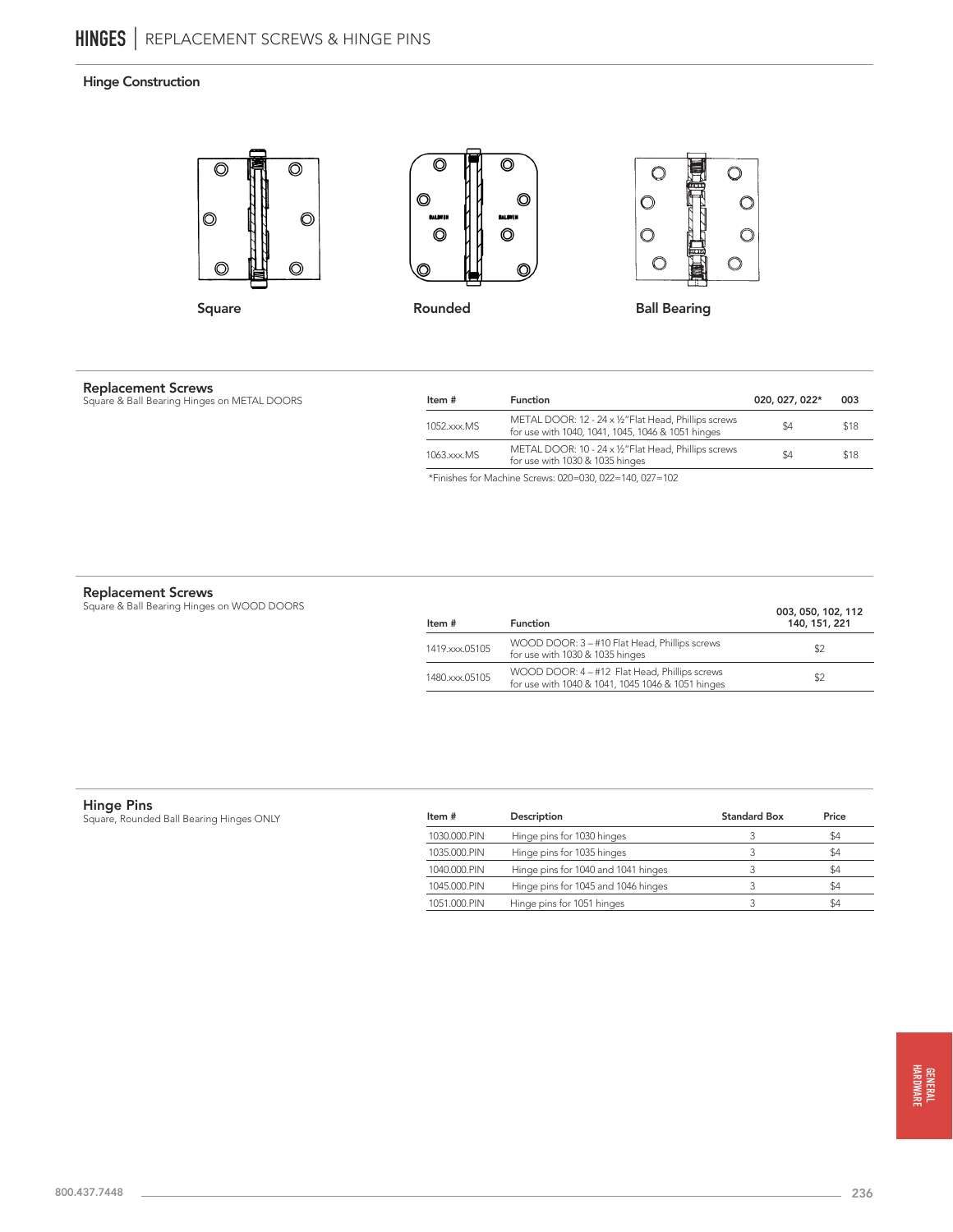# Hinge Construction



**Replacement Screws**<br>Square & Ball Bearing Hinges on METAL DOORS

| Item #      | <b>Function</b>                                                                                            | 020, 027, 022* | 003  |
|-------------|------------------------------------------------------------------------------------------------------------|----------------|------|
| 1052.xxx.MS | METAL DOOR: 12 - 24 x 1/2" Flat Head, Phillips screws<br>for use with 1040, 1041, 1045, 1046 & 1051 hinges | \$4            | \$18 |
| 1063.xxx.MS | METAL DOOR: 10 - 24 x 1/2" Flat Head, Phillips screws<br>for use with 1030 & 1035 hinges                   | \$4            | \$18 |

\*Finishes for Machine Screws: 020=030, 022=140, 027=102

**Replacement Screws**<br>Square & Ball Bearing Hinges on WOOD DOORS

| Item #         | <b>Function</b>                                                                                    | 003, 050, 102, 112<br>140, 151, 221 |
|----------------|----------------------------------------------------------------------------------------------------|-------------------------------------|
| 1419.xxx.05105 | WOOD DOOR: 3 - #10 Flat Head, Phillips screws<br>for use with 1030 & 1035 hinges                   | \$2                                 |
| 1480.xxx.05105 | WOOD DOOR: 4 - #12 Flat Head, Phillips screws<br>for use with 1040 & 1041, 1045 1046 & 1051 hinges | \$2                                 |

**Hinge Pins**<br>Square, Rounded Ball Bearing Hinges ONLY

| Item #       | Description                         | <b>Standard Box</b> | Price |
|--------------|-------------------------------------|---------------------|-------|
| 1030.000.PIN | Hinge pins for 1030 hinges          |                     | \$4   |
| 1035.000.PIN | Hinge pins for 1035 hinges          |                     | \$4   |
| 1040.000.PIN | Hinge pins for 1040 and 1041 hinges |                     | \$4   |
| 1045.000.PIN | Hinge pins for 1045 and 1046 hinges |                     | \$4   |
| 1051.000.PIN | Hinge pins for 1051 hinges          |                     | \$4   |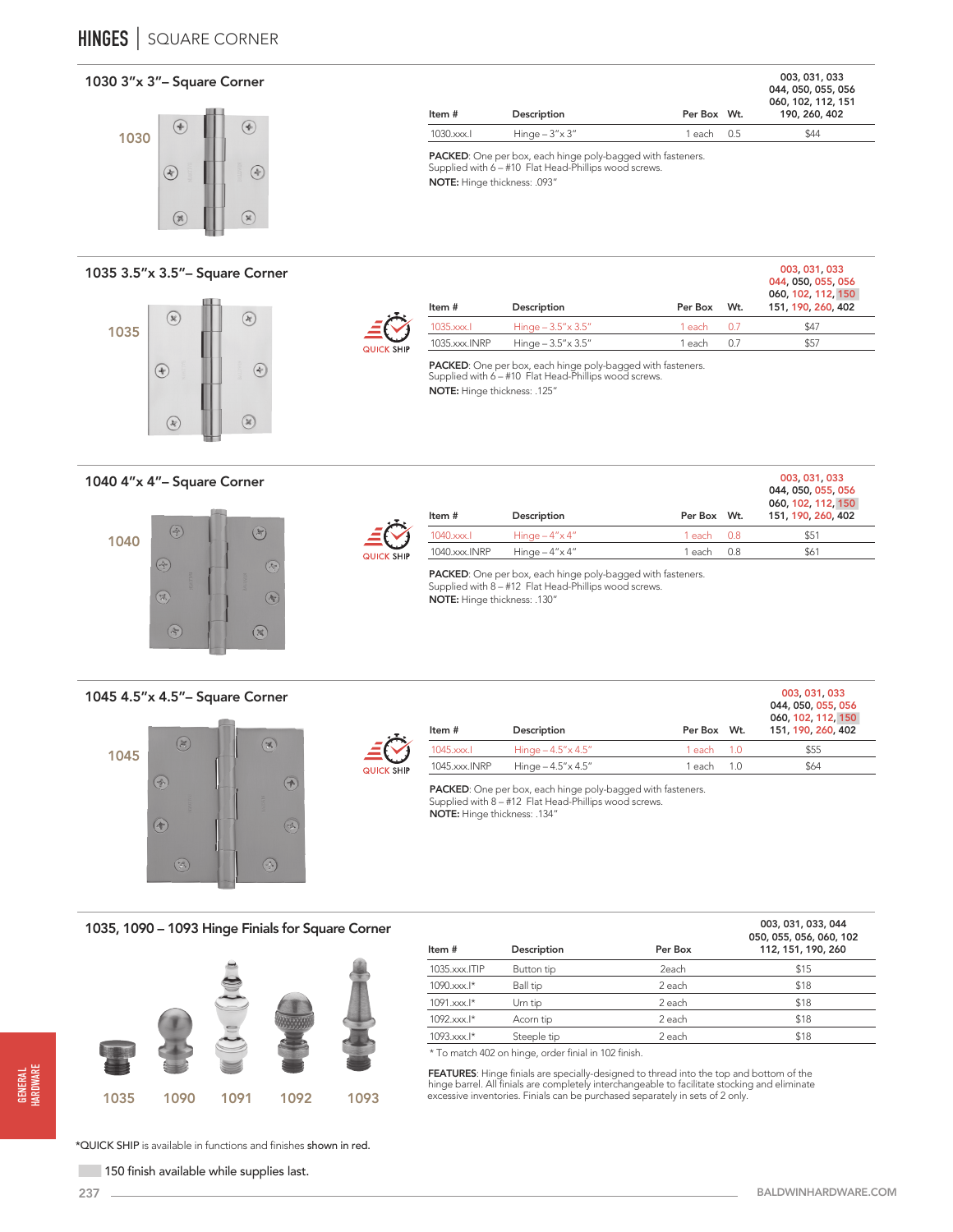



# 1035 3.5"x 3.5"– Square Corner



| QUICK SH <b>I</b> P |  |
|---------------------|--|

| Item $#$      | Description                 | Per Box Wt.    |     | 044, 050, 055, 056<br>060, 102, 112, 150<br>151, 190, 260, 402 |
|---------------|-----------------------------|----------------|-----|----------------------------------------------------------------|
| 1035.xxx.     | Hinge $-3.5'' \times 3.5''$ | $1$ each $0.7$ |     | \$47                                                           |
| 1035.xxx.INRP | Hinge $-3.5'' \times 3.5''$ | 1 each         | 0.7 | \$57                                                           |
|               |                             |                |     |                                                                |

003, 031, 033 044, 050, 055, 056 060, 102, 112, 151 190, 260, 402

003, 031, 033

003, 031, 033

PACKED: One per box, each hinge poly-bagged with fasteners. Supplied with 6 – #10 Flat Head-Phillips wood screws. NOTE: Hinge thickness: .125"

Item # Description Description Per Box Wt.

PACKED: One per box, each hinge poly-bagged with fasteners. Supplied with 6 – #10 Flat Head-Phillips wood screws.

NOTE: Hinge thickness: .093"

1030.xxx.l Hinge – 3"x 3" 1 each 0.5 \$44

1040 4"x 4"– Square Corner





| Item #        | Description             | Per Box Wt. |     | 044, 050, 055, 056<br>060, 102, 112, 150<br>151, 190, 260, 402 |
|---------------|-------------------------|-------------|-----|----------------------------------------------------------------|
| $1040$ .xxx.l | Hinge $-4'' \times 4''$ | 1 each 0.8  |     | \$51                                                           |
| 1040.xxx.INRP | Hinge $-4'' \times 4''$ | 1 each-     | 0.8 | \$61                                                           |

PACKED: One per box, each hinge poly-bagged with fasteners. Supplied with 8 – #12 Flat Head-Phillips wood screws. NOTE: Hinge thickness: .130"

1045 4.5"x 4.5"– Square Corner





| Item #        | Description                 | Per Box Wt.     | 003.031.033<br>044, 050, 055, 056<br>060, 102, 112, 150<br>151, 190, 260, 402 |
|---------------|-----------------------------|-----------------|-------------------------------------------------------------------------------|
| 1045.xxx.     | Hinge $-4.5'' \times 4.5''$ | $1$ each $1.0$  | \$55                                                                          |
| 1045.xxx.INRP | Hinge $-4.5'' \times 4.5''$ | 1 each.<br>1(0) | \$64                                                                          |

PACKED: One per box, each hinge poly-bagged with fasteners. Supplied with 8 – #12 Flat Head-Phillips wood screws. NOTE: Hinge thickness: .134"

1035, 1090 – 1093 Hinge Finials for Square Corner



| Description | Per Box | 003, 031, 033, 044<br>050, 055, 056, 060, 102<br>112, 151, 190, 260 |
|-------------|---------|---------------------------------------------------------------------|
| Button tip  | 2each   | \$15                                                                |
| Ball tip    | 2 each  | \$18                                                                |
| Urn tip     | 2 each  | \$18                                                                |
| Acorn tip   | 2 each  | \$18                                                                |
| Steeple tip | 2 each  | \$18                                                                |
|             |         |                                                                     |

\* To match 402 on hinge, order finial in 102 finish.

**FEATURES**: Hinge finials are specially-designed to thread into the top and bottom of the<br>hinge barrel. All finials are completely interchangeable to facilitate stocking and eliminate<br>excessive inventories. Finials can be

\*QUICK SHIP is available in functions and finishes shown in red.

150 finish available while supplies last.

GENERAL HARDWARE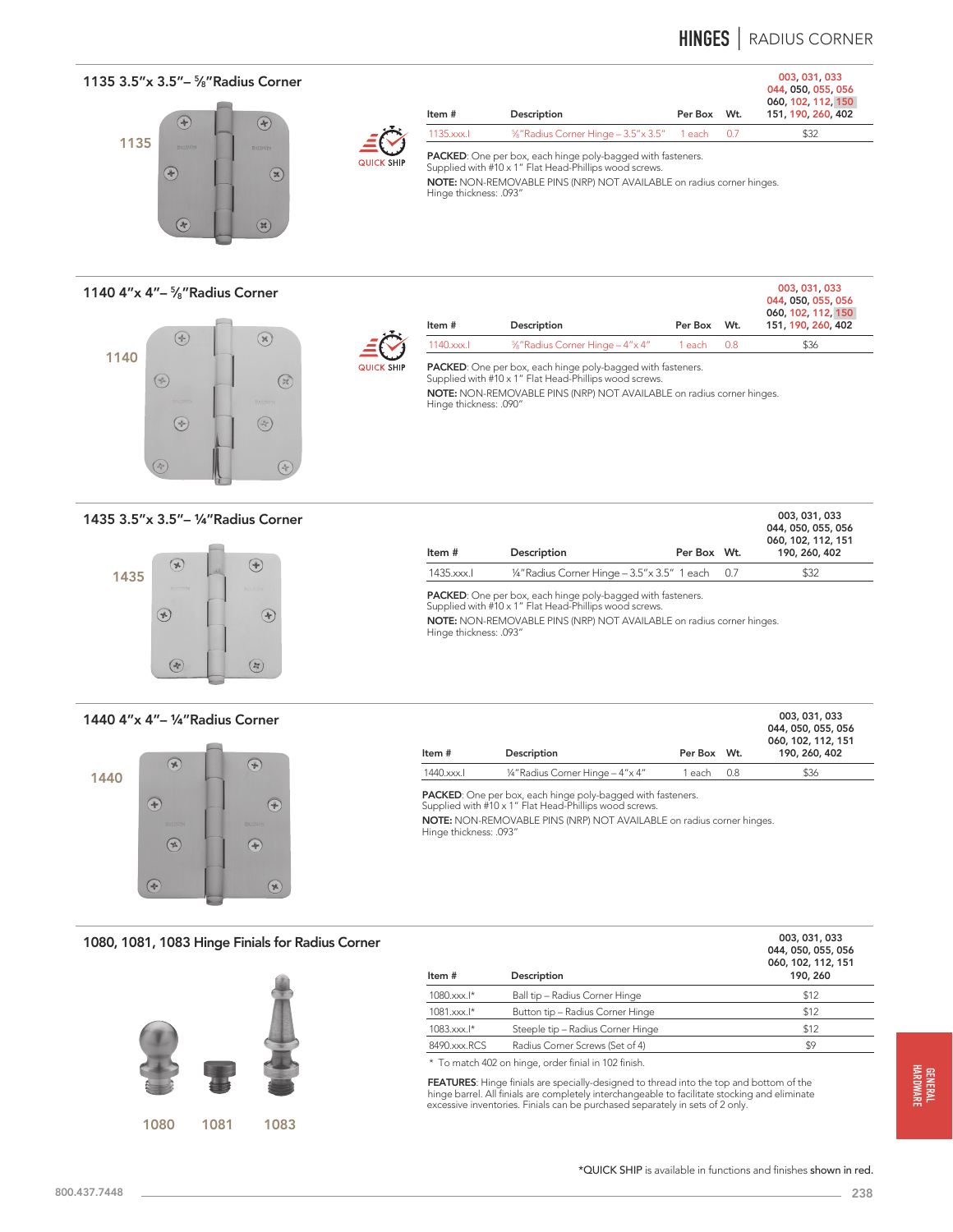# **HINGES** | RADIUS CORNER

003, 031, 033

003, 031, 033

## 1135 3.5"x 3.5"- <sup>5</sup>/<sub>8</sub>" Radius Corner 003, 031, 033 044, 050, 055, 056





QUICK

| Item #     | Description                                                      | Per Box Wt. | 060, 102, 112, 150<br>151, 190, 260, 402 |
|------------|------------------------------------------------------------------|-------------|------------------------------------------|
| 1135, xxx. | %"Radius Corner Hinge - 3.5" x 3.5" 1 each 0.7                   |             | \$32                                     |
|            | <b>DACKED.</b> One weekens and bis as welched and with factorize |             |                                          |

PACKED: One per box, each hinge poly-bagged with fasteners. Supplied with #10 x 1" Flat Head-Phillips wood screws.

NOTE: NON-REMOVABLE PINS (NRP) NOT AVAILABLE on radius corner hinges. Hinge thickness: .093"

1140 4"x 4"– 5⁄8"Radius Corner



| Item #                      | Description                                   | Per Box Wt. | 060, 102, 112, 150<br>151, 190, 260, 402 |
|-----------------------------|-----------------------------------------------|-------------|------------------------------------------|
| $1140$ .xxx. $\blacksquare$ | <sup>5</sup> %" Radius Corner Hinge - 4" x 4" | 1 each 0.8  | \$36                                     |

ed with #10 x 1" Flat Head-Phillips wood screws.

NOTE: NON-REMOVABLE PINS (NRP) NOT AVAILABLE on radius corner hinges. Hinge thickness: .090"

1435 3.5"x 3.5"– ¼"Radius Corner



1440 4"x 4"– ¼"Radius Corner



| Item #    | Description                                   | Per Box Wt. |       | 044, 050, 055, 056<br>060, 102, 112, 151<br>190, 260, 402 |
|-----------|-----------------------------------------------|-------------|-------|-----------------------------------------------------------|
| 1435.xxx. | 1/4" Radius Corner Hinge - 3.5" x 3.5" 1 each |             | (0.7) | \$32                                                      |

PACKED: One per box, each hinge poly-bagged with fasteners. Supplied with #10 x 1" Flat Head-Phillips wood screws.

NOTE: NON-REMOVABLE PINS (NRP) NOT AVAILABLE on radius corner hinges. Hinge thickness: .093"

|           |                                    |             |     | 003, 031, 033<br>044, 050, 055, 056<br>060, 102, 112, 151 |
|-----------|------------------------------------|-------------|-----|-----------------------------------------------------------|
| Item#     | Description                        | Per Box Wt. |     | 190, 260, 402                                             |
| 1440.xxx. | 1/4" Radius Corner Hinge - 4" x 4" | 1 each –    | 0.8 | \$36                                                      |

PACKED: One per box, each hinge poly-bagged with fasteners. Supplied with #10 x 1" Flat Head-Phillips wood screws.

NOTE: NON-REMOVABLE PINS (NRP) NOT AVAILABLE on radius corner hinges. Hinge thickness: .093"

1080, 1081, 1083 Hinge Finials for Radius Corner



| Item#        | Description                       | 003, 031, 033<br>044, 050, 055, 056<br>060, 102, 112, 151<br>190, 260 |
|--------------|-----------------------------------|-----------------------------------------------------------------------|
| 1080.xxx.l*  | Ball tip - Radius Corner Hinge    | \$12                                                                  |
| 1081.xxx.l*  | Button tip - Radius Corner Hinge  | \$12                                                                  |
| 1083.xxx.l*  | Steeple tip - Radius Corner Hinge | \$12                                                                  |
| 8490.xxx.RCS | Radius Corner Screws (Set of 4)   | \$9                                                                   |
|              |                                   |                                                                       |

\* To match 402 on hinge, order finial in 102 finish.

FEATURES: Hinge finials are specially-designed to thread into the top and bottom of the hinge barrel. All finials are completely interchangeable to facilitate stocking and eliminate excessive inventories. Finials can be purchased separately in sets of 2 only.